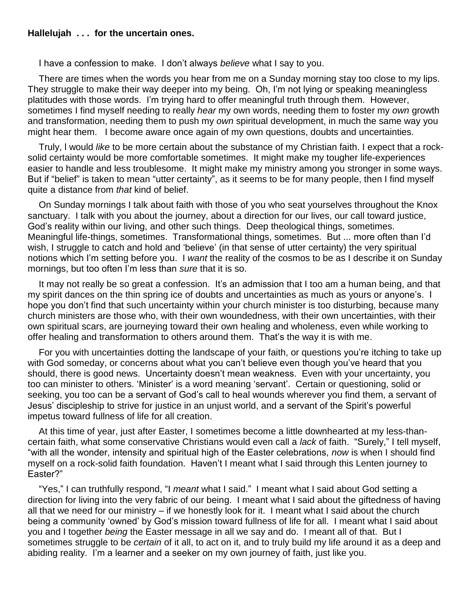## **Hallelujah . . . for the uncertain ones.**

I have a confession to make. I don't always *believe* what I say to you.

There are times when the words you hear from me on a Sunday morning stay too close to my lips. They struggle to make their way deeper into my being. Oh, I'm not lying or speaking meaningless platitudes with those words. I'm trying hard to offer meaningful truth through them. However, sometimes I find myself needing to really *hear* my own words, needing them to foster my *own* growth and transformation, needing them to push my *own* spiritual development, in much the same way you might hear them. I become aware once again of my own questions, doubts and uncertainties.

Truly, l would *like* to be more certain about the substance of my Christian faith. I expect that a rocksolid certainty would be more comfortable sometimes. It might make my tougher life-experiences easier to handle and less troublesome. It might make my ministry among you stronger in some ways. But if "belief" is taken to mean "utter certainty", as it seems to be for many people, then I find myself quite a distance from *that* kind of belief.

On Sunday mornings I talk about faith with those of you who seat yourselves throughout the Knox sanctuary. I talk with you about the journey, about a direction for our lives, our call toward justice, God's reality within our living, and other such things. Deep theological things, sometimes. Meaningful life-things, sometimes. Transformational things, sometimes. But ... more often than I'd wish, I struggle to catch and hold and 'believe' (in that sense of utter certainty) the very spiritual notions which I'm setting before you. I *want* the reality of the cosmos to be as I describe it on Sunday mornings, but too often I'm less than *sure* that it is so.

It may not really be so great a confession. It's an admission that I too am a human being, and that my spirit dances on the thin spring ice of doubts and uncertainties as much as yours or anyone's. I hope you don't find that such uncertainty within your church minister is too disturbing, because many church ministers are those who, with their own woundedness, with their own uncertainties, with their own spiritual scars, are journeying toward their own healing and wholeness, even while working to offer healing and transformation to others around them. That's the way it is with me.

For you with uncertainties dotting the landscape of your faith, or questions you're itching to take up with God someday, or concerns about what you can't believe even though you've heard that you should, there is good news. Uncertainty doesn't mean weakness. Even with your uncertainty, you too can minister to others. 'Minister' is a word meaning 'servant'. Certain or questioning, solid or seeking, you too can be a servant of God's call to heal wounds wherever you find them, a servant of Jesus' discipleship to strive for justice in an unjust world, and a servant of the Spirit's powerful impetus toward fullness of life for all creation.

At this time of year, just after Easter, I sometimes become a little downhearted at my less-thancertain faith, what some conservative Christians would even call a *lack* of faith. "Surely," I tell myself, "with all the wonder, intensity and spiritual high of the Easter celebrations, *now* is when I should find myself on a rock-solid faith foundation. Haven't I meant what I said through this Lenten journey to Easter?"

"Yes," I can truthfully respond, "I *meant* what I said." I meant what I said about God setting a direction for living into the very fabric of our being. I meant what I said about the giftedness of having all that we need for our ministry – if we honestly look for it. I meant what I said about the church being a community 'owned' by God's mission toward fullness of life for all. I meant what I said about you and I together *being* the Easter message in all we say and do. I meant all of that. But I sometimes struggle to be *certain* of it all, to act on it, and to truly build my life around it as a deep and abiding reality. I'm a learner and a seeker on my own journey of faith, just like you.